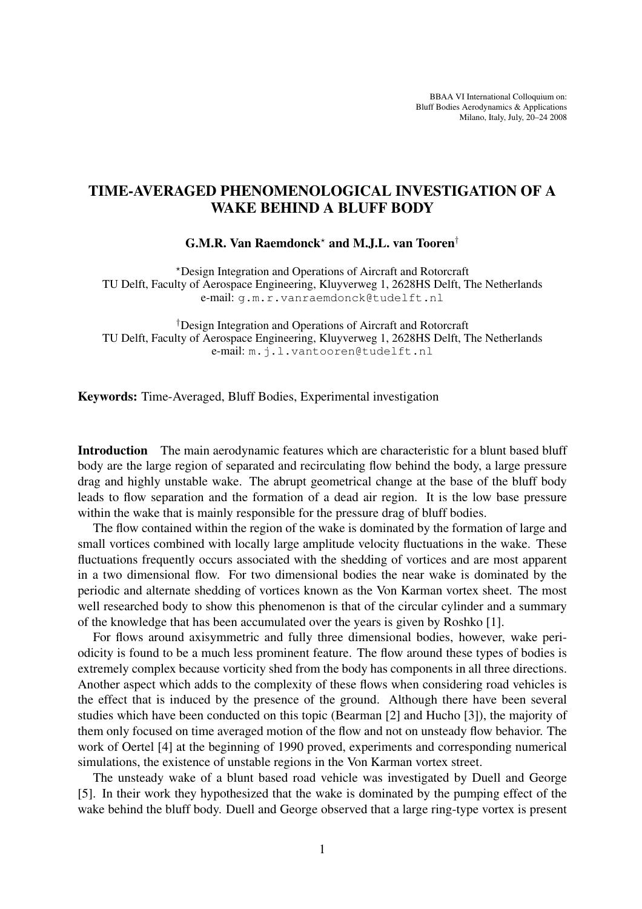BBAA VI International Colloquium on: Bluff Bodies Aerodynamics & Applications Milano, Italy, July, 20–24 2008

## TIME-AVERAGED PHENOMENOLOGICAL INVESTIGATION OF A WAKE BEHIND A BLUFF BODY

G.M.R. Van Raemdonck? and M.J.L. van Tooren†

?Design Integration and Operations of Aircraft and Rotorcraft TU Delft, Faculty of Aerospace Engineering, Kluyverweg 1, 2628HS Delft, The Netherlands e-mail: g.m.r.vanraemdonck@tudelft.nl

†Design Integration and Operations of Aircraft and Rotorcraft TU Delft, Faculty of Aerospace Engineering, Kluyverweg 1, 2628HS Delft, The Netherlands e-mail: m.j.l.vantooren@tudelft.nl

Keywords: Time-Averaged, Bluff Bodies, Experimental investigation

Introduction The main aerodynamic features which are characteristic for a blunt based bluff body are the large region of separated and recirculating flow behind the body, a large pressure drag and highly unstable wake. The abrupt geometrical change at the base of the bluff body leads to flow separation and the formation of a dead air region. It is the low base pressure within the wake that is mainly responsible for the pressure drag of bluff bodies.

The flow contained within the region of the wake is dominated by the formation of large and small vortices combined with locally large amplitude velocity fluctuations in the wake. These fluctuations frequently occurs associated with the shedding of vortices and are most apparent in a two dimensional flow. For two dimensional bodies the near wake is dominated by the periodic and alternate shedding of vortices known as the Von Karman vortex sheet. The most well researched body to show this phenomenon is that of the circular cylinder and a summary of the knowledge that has been accumulated over the years is given by Roshko [1].

For flows around axisymmetric and fully three dimensional bodies, however, wake periodicity is found to be a much less prominent feature. The flow around these types of bodies is extremely complex because vorticity shed from the body has components in all three directions. Another aspect which adds to the complexity of these flows when considering road vehicles is the effect that is induced by the presence of the ground. Although there have been several studies which have been conducted on this topic (Bearman [2] and Hucho [3]), the majority of them only focused on time averaged motion of the flow and not on unsteady flow behavior. The work of Oertel [4] at the beginning of 1990 proved, experiments and corresponding numerical simulations, the existence of unstable regions in the Von Karman vortex street.

The unsteady wake of a blunt based road vehicle was investigated by Duell and George [5]. In their work they hypothesized that the wake is dominated by the pumping effect of the wake behind the bluff body. Duell and George observed that a large ring-type vortex is present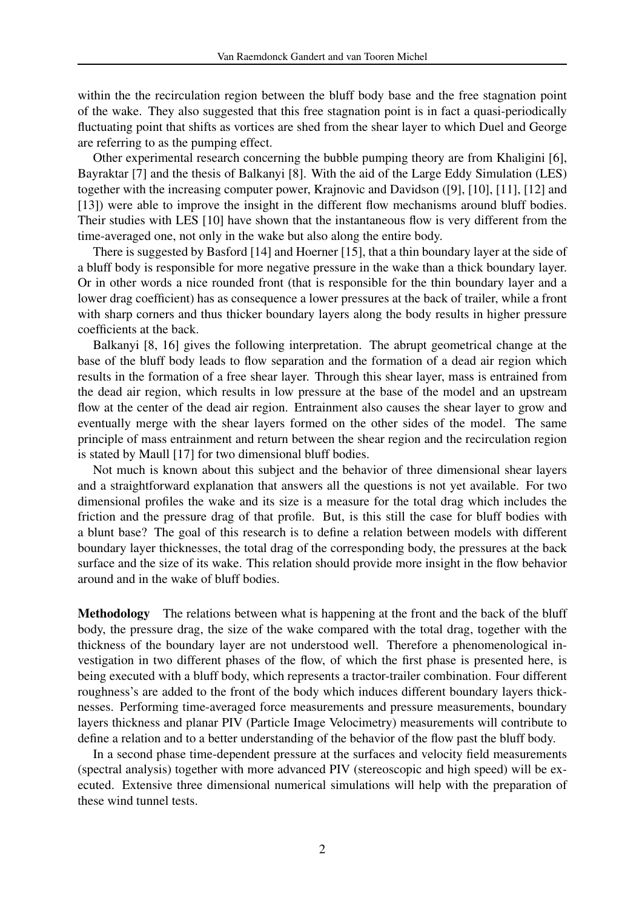within the the recirculation region between the bluff body base and the free stagnation point of the wake. They also suggested that this free stagnation point is in fact a quasi-periodically fluctuating point that shifts as vortices are shed from the shear layer to which Duel and George are referring to as the pumping effect.

Other experimental research concerning the bubble pumping theory are from Khaligini [6], Bayraktar [7] and the thesis of Balkanyi [8]. With the aid of the Large Eddy Simulation (LES) together with the increasing computer power, Krajnovic and Davidson ([9], [10], [11], [12] and [13]) were able to improve the insight in the different flow mechanisms around bluff bodies. Their studies with LES [10] have shown that the instantaneous flow is very different from the time-averaged one, not only in the wake but also along the entire body.

There is suggested by Basford [14] and Hoerner [15], that a thin boundary layer at the side of a bluff body is responsible for more negative pressure in the wake than a thick boundary layer. Or in other words a nice rounded front (that is responsible for the thin boundary layer and a lower drag coefficient) has as consequence a lower pressures at the back of trailer, while a front with sharp corners and thus thicker boundary layers along the body results in higher pressure coefficients at the back.

Balkanyi [8, 16] gives the following interpretation. The abrupt geometrical change at the base of the bluff body leads to flow separation and the formation of a dead air region which results in the formation of a free shear layer. Through this shear layer, mass is entrained from the dead air region, which results in low pressure at the base of the model and an upstream flow at the center of the dead air region. Entrainment also causes the shear layer to grow and eventually merge with the shear layers formed on the other sides of the model. The same principle of mass entrainment and return between the shear region and the recirculation region is stated by Maull [17] for two dimensional bluff bodies.

Not much is known about this subject and the behavior of three dimensional shear layers and a straightforward explanation that answers all the questions is not yet available. For two dimensional profiles the wake and its size is a measure for the total drag which includes the friction and the pressure drag of that profile. But, is this still the case for bluff bodies with a blunt base? The goal of this research is to define a relation between models with different boundary layer thicknesses, the total drag of the corresponding body, the pressures at the back surface and the size of its wake. This relation should provide more insight in the flow behavior around and in the wake of bluff bodies.

Methodology The relations between what is happening at the front and the back of the bluff body, the pressure drag, the size of the wake compared with the total drag, together with the thickness of the boundary layer are not understood well. Therefore a phenomenological investigation in two different phases of the flow, of which the first phase is presented here, is being executed with a bluff body, which represents a tractor-trailer combination. Four different roughness's are added to the front of the body which induces different boundary layers thicknesses. Performing time-averaged force measurements and pressure measurements, boundary layers thickness and planar PIV (Particle Image Velocimetry) measurements will contribute to define a relation and to a better understanding of the behavior of the flow past the bluff body.

In a second phase time-dependent pressure at the surfaces and velocity field measurements (spectral analysis) together with more advanced PIV (stereoscopic and high speed) will be executed. Extensive three dimensional numerical simulations will help with the preparation of these wind tunnel tests.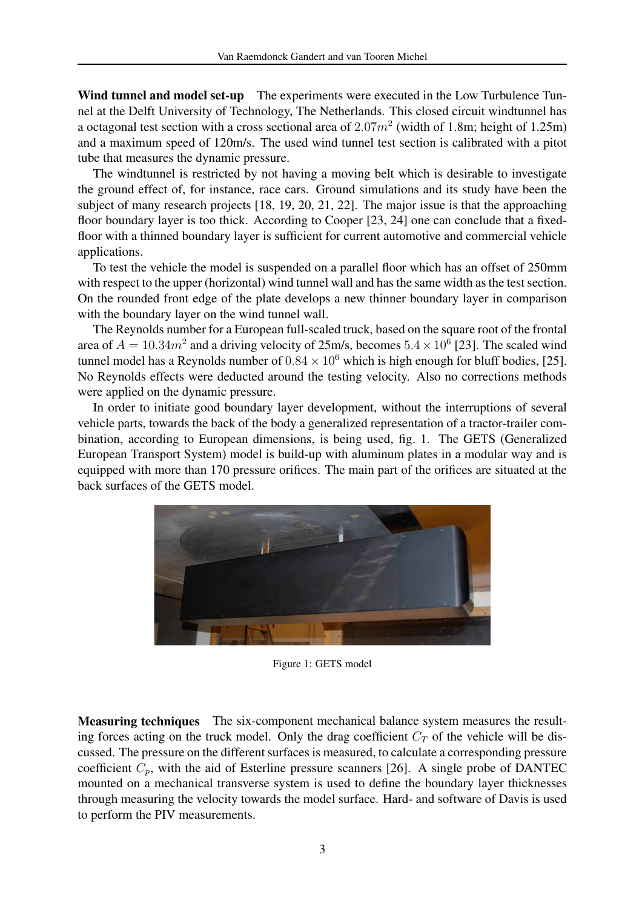Wind tunnel and model set-up The experiments were executed in the Low Turbulence Tunnel at the Delft University of Technology, The Netherlands. This closed circuit windtunnel has a octagonal test section with a cross sectional area of  $2.07m^2$  (width of 1.8m; height of 1.25m) and a maximum speed of 120m/s. The used wind tunnel test section is calibrated with a pitot tube that measures the dynamic pressure.

The windtunnel is restricted by not having a moving belt which is desirable to investigate the ground effect of, for instance, race cars. Ground simulations and its study have been the subject of many research projects [18, 19, 20, 21, 22]. The major issue is that the approaching floor boundary layer is too thick. According to Cooper [23, 24] one can conclude that a fixedfloor with a thinned boundary layer is sufficient for current automotive and commercial vehicle applications.

To test the vehicle the model is suspended on a parallel floor which has an offset of 250mm with respect to the upper (horizontal) wind tunnel wall and has the same width as the test section. On the rounded front edge of the plate develops a new thinner boundary layer in comparison with the boundary layer on the wind tunnel wall.

The Reynolds number for a European full-scaled truck, based on the square root of the frontal area of  $A = 10.34m^2$  and a driving velocity of 25m/s, becomes  $5.4 \times 10^6$  [23]. The scaled wind tunnel model has a Reynolds number of  $0.84 \times 10^6$  which is high enough for bluff bodies, [25]. No Reynolds effects were deducted around the testing velocity. Also no corrections methods were applied on the dynamic pressure.

In order to initiate good boundary layer development, without the interruptions of several vehicle parts, towards the back of the body a generalized representation of a tractor-trailer combination, according to European dimensions, is being used, fig. 1. The GETS (Generalized European Transport System) model is build-up with aluminum plates in a modular way and is equipped with more than 170 pressure orifices. The main part of the orifices are situated at the back surfaces of the GETS model.



Figure 1: GETS model

Measuring techniques The six-component mechanical balance system measures the resulting forces acting on the truck model. Only the drag coefficient  $C_T$  of the vehicle will be discussed. The pressure on the different surfaces is measured, to calculate a corresponding pressure coefficient  $C_p$ , with the aid of Esterline pressure scanners [26]. A single probe of DANTEC mounted on a mechanical transverse system is used to define the boundary layer thicknesses through measuring the velocity towards the model surface. Hard- and software of Davis is used to perform the PIV measurements.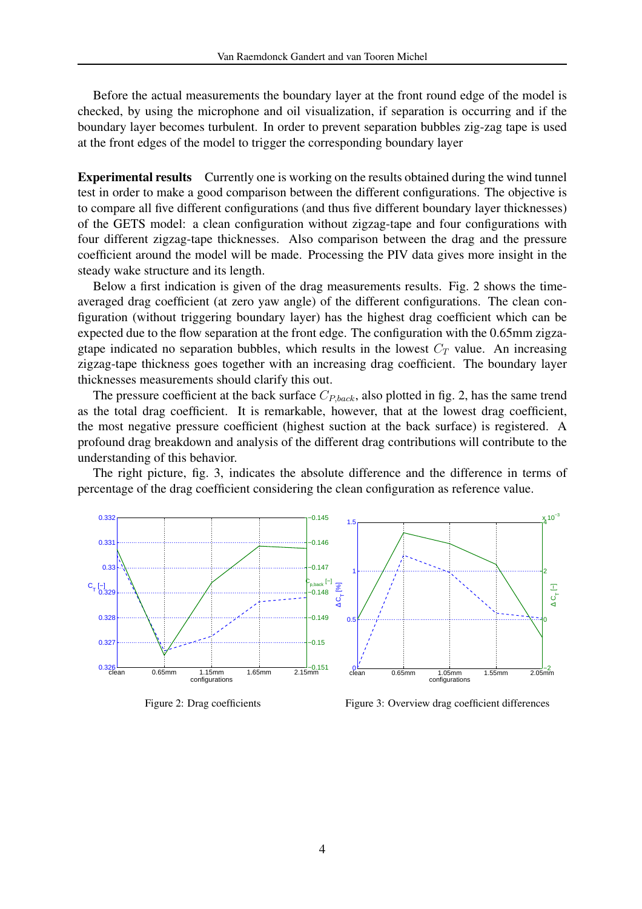Before the actual measurements the boundary layer at the front round edge of the model is checked, by using the microphone and oil visualization, if separation is occurring and if the boundary layer becomes turbulent. In order to prevent separation bubbles zig-zag tape is used at the front edges of the model to trigger the corresponding boundary layer

Experimental results Currently one is working on the results obtained during the wind tunnel test in order to make a good comparison between the different configurations. The objective is to compare all five different configurations (and thus five different boundary layer thicknesses) of the GETS model: a clean configuration without zigzag-tape and four configurations with four different zigzag-tape thicknesses. Also comparison between the drag and the pressure coefficient around the model will be made. Processing the PIV data gives more insight in the steady wake structure and its length.

Below a first indication is given of the drag measurements results. Fig. 2 shows the timeaveraged drag coefficient (at zero yaw angle) of the different configurations. The clean configuration (without triggering boundary layer) has the highest drag coefficient which can be expected due to the flow separation at the front edge. The configuration with the 0.65mm zigzagtape indicated no separation bubbles, which results in the lowest  $C_T$  value. An increasing zigzag-tape thickness goes together with an increasing drag coefficient. The boundary layer thicknesses measurements should clarify this out.

The pressure coefficient at the back surface  $C_{P,back}$ , also plotted in fig. 2, has the same trend as the total drag coefficient. It is remarkable, however, that at the lowest drag coefficient, the most negative pressure coefficient (highest suction at the back surface) is registered. A profound drag breakdown and analysis of the different drag contributions will contribute to the understanding of this behavior.

The right picture, fig. 3, indicates the absolute difference and the difference in terms of percentage of the drag coefficient considering the clean configuration as reference value.



Figure 2: Drag coefficients

Figure 3: Overview drag coefficient differences